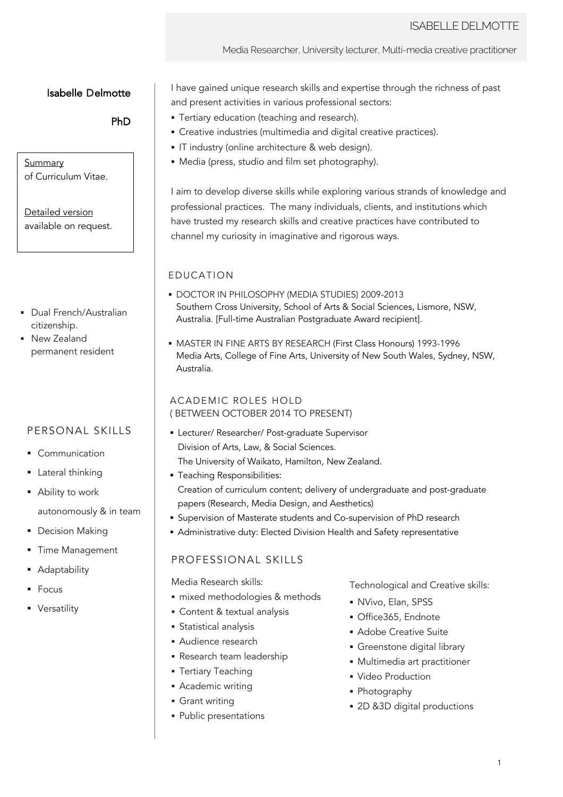#### Media Researcher, University lecturer, Multi-media creative practitioner

# Isabelle Delmotte

## PhD

### Summary of Curriculum Vitae.

Detailed version available on request.

- Dual French/Australian citizenship.
- § New Zealand permanent resident

# PERSONAL SKILLS

- § Communication
- § Lateral thinking
- Ability to work autonomously & in team
- § Decision Making
- § Time Management
- **Adaptability**
- **Focus**
- § Versatility

I have gained unique research skills and expertise through the richness of past and present activities in various professional sectors:

- **Tertiary education (teaching and research).**
- Creative industries (multimedia and digital creative practices).
- § IT industry (online architecture & web design).
- Media (press, studio and film set photography).

I aim to develop diverse skills while exploring various strands of knowledge and professional practices. The many individuals, clients, and institutions which have trusted my research skills and creative practices have contributed to channel my curiosity in imaginative and rigorous ways.

## EDUCATION

- § DOCTOR IN PHILOSOPHY (MEDIA STUDIES) 2009-2013 Southern Cross University, School of Arts & Social Sciences, Lismore, NSW, Australia. [Full-time Australian Postgraduate Award recipient].
- § MASTER IN FINE ARTS BY RESEARCH (First Class Honours) 1993-1996 Media Arts, College of Fine Arts, University of New South Wales, Sydney, NSW, Australia.

## ACADEMIC ROLES HOLD ( BETWEEN OCTOBER 2014 TO PRESENT)

- Lecturer/ Researcher/ Post-graduate Supervisor Division of Arts, Law, & Social Sciences.
	- The University of Waikato, Hamilton, New Zealand.
- § Teaching Responsibilities: Creation of curriculum content; delivery of undergraduate and post-graduate papers (Research, Media Design, and Aesthetics)
- Supervision of Masterate students and Co-supervision of PhD research
- § Administrative duty: Elected Division Health and Safety representative

# PROFESSIONAL SKILLS

Media Research skills:

- § mixed methodologies & methods
- § Content & textual analysis
- § Statistical analysis
- § Audience research
- § Research team leadership
- § Tertiary Teaching
- § Academic writing
- § Grant writing
- § Public presentations

Technological and Creative skills:

- § NVivo, Elan, SPSS
- § Office365, Endnote
- § Adobe Creative Suite
- § Greenstone digital library
- § Multimedia art practitioner
- § Video Production
- § Photography
- 2D &3D digital productions